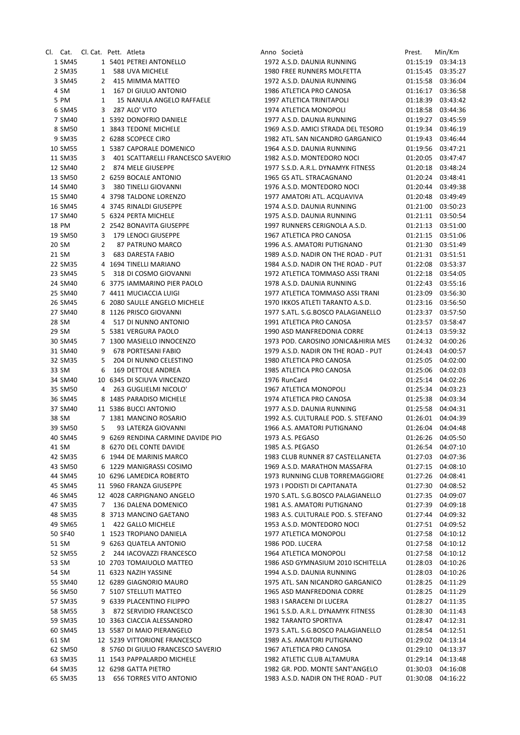|         | Cl. Cat. Cl.Cat. Pett. Atleta |   |                                     |
|---------|-------------------------------|---|-------------------------------------|
| 1 SM45  |                               |   | 1 5401 PETREI ANTONELLO             |
| 2 SM35  | $\mathbf{1}$                  |   | 588 UVA MICHELE                     |
| 3 SM45  | $\mathbf{2}$                  |   | 415 MIMMA MATTEO                    |
| 4 SM    | 1                             |   | 167 DI GIULIO ANTONIO               |
| 5 PM    |                               |   | 1 15 NANULA ANGELO RAFFAELE         |
| 6 SM45  |                               |   | 3 287 ALO' VITO                     |
| 7 SM40  |                               |   | 1 5392 DONOFRIO DANIELE             |
|         |                               |   |                                     |
| 8 SM50  |                               |   | 1 3843 TEDONE MICHELE               |
| 9 SM35  |                               |   | 2 6288 SCOPECE CIRO                 |
| 10 SM55 |                               |   | 1 5387 CAPORALE DOMENICO            |
| 11 SM35 |                               |   | 3 401 SCATTARELLI FRANCESCO SAVERIO |
| 12 SM40 |                               |   | 2 874 MELE GIUSEPPE                 |
| 13 SM50 |                               |   | 2 6259 BOCALE ANTONIO               |
| 14 SM40 |                               |   | 3 380 TINELLI GIOVANNI              |
| 15 SM40 |                               |   | 4 3798 TALDONE LORENZO              |
| 16 SM45 |                               |   | 4 3745 RINALDI GIUSEPPE             |
| 17 SM40 |                               |   | 5 6324 PERTA MICHELE                |
| 18 PM   |                               |   | 2 2542 BONAVITA GIUSEPPE            |
| 19 SM50 |                               |   | 3 179 LENOCI GIUSEPPE               |
| 20 SM   |                               |   | 2 87 PATRUNO MARCO                  |
|         |                               |   |                                     |
| 21 SM   | 3                             |   | 683 DARESTA FABIO                   |
| 22 SM35 |                               |   | 4 1694 TINELLI MARIANO              |
| 23 SM45 |                               |   | 5 318 DI COSMO GIOVANNI             |
| 24 SM40 |                               |   | 6 3775 IAMMARINO PIER PAOLO         |
| 25 SM40 |                               |   | 7 4411 MUCIACCIA LUIGI              |
| 26 SM45 | 6                             |   | 2080 SAULLE ANGELO MICHELE          |
| 27 SM40 | 8                             |   | 1126 PRISCO GIOVANNI                |
| 28 SM   |                               |   | 4 517 DI NUNNO ANTONIO              |
| 29 SM   | 5                             |   | 5381 VERGURA PAOLO                  |
| 30 SM45 |                               |   | 7 1300 MASIELLO INNOCENZO           |
| 31 SM40 |                               |   | 9 678 PORTESANI FABIO               |
| 32 SM35 |                               |   | 5 204 DI NUNNO CELESTINO            |
| 33 SM   | 6                             |   | 169 DETTOLE ANDREA                  |
|         |                               |   | 10 6345 DI SCIUVA VINCENZO          |
| 34 SM40 |                               |   |                                     |
| 35 SM50 | $\overline{4}$                |   | 263 GUGLIELMI NICOLO'               |
| 36 SM45 |                               |   | 8 1485 PARADISO MICHELE             |
|         |                               |   | 37 SM40 11 5386 BUCCI ANTONIO       |
| 38 SM   |                               |   | 7 1381 MANCINO ROSARIO              |
| 39 SM50 | 5.                            |   | 93 LATERZA GIOVANNI                 |
| 40 SM45 |                               |   | 9 6269 RENDINA CARMINE DAVIDE PIO   |
| 41 SM   |                               |   | 8 6270 DEL CONTE DAVIDE             |
| 42 SM35 | 6                             |   | 1944 DE MARINIS MARCO               |
| 43 SM50 | 6                             |   | 1229 MANIGRASSI COSIMO              |
| 44 SM45 |                               |   | 10 6296 LAMEDICA ROBERTO            |
| 45 SM45 |                               |   | 11 5960 FRANZA GIUSEPPE             |
| 46 SM45 |                               |   | 12 4028 CARPIGNANO ANGELO           |
| 47 SM35 | 7                             |   | 136 DALENA DOMENICO                 |
|         |                               |   |                                     |
| 48 SM35 | 8                             |   | 3713 MANCINO GAETANO                |
| 49 SM65 |                               | 1 | <b>422 GALLO MICHELE</b>            |
| 50 SF40 | $\mathbf{1}$                  |   | <b>1523 TROPIANO DANIELA</b>        |
| 51 SM   | 9                             |   | <b>6263 QUATELA ANTONIO</b>         |
| 52 SM55 | 2                             |   | 244 IACOVAZZI FRANCESCO             |
| 53 SM   | 10                            |   | 2703 TOMAIUOLO MATTEO               |
| 54 SM   |                               |   | 11 6323 NAZIH YASSINE               |
| 55 SM40 |                               |   | 12 6289 GIAGNORIO MAURO             |
| 56 SM50 | 7                             |   | 5107 STELLUTI MATTEO                |
| 57 SM35 | 9                             |   | 6339 PLACENTINO FILIPPO             |
| 58 SM55 | 3                             |   | 872 SERVIDIO FRANCESCO              |
| 59 SM35 | 10                            |   | 3363 CIACCIA ALESSANDRO             |
| 60 SM45 | 13                            |   | 5587 DI MAIO PIERANGELO             |
|         |                               |   |                                     |
| 61 SM   | 12                            |   | 5239 VITTORIONE FRANCESCO           |
| 62 SM50 | 8                             |   | 5760 DI GIULIO FRANCESCO SAVERIO    |
| 63 SM35 | 11                            |   | 1543 PAPPALARDO MICHELE             |
| 64 SM35 |                               |   | 12 6298 GATTA PIETRO                |
| 65 SM35 |                               |   | 13 656 TORRES VITO ANTONIO          |

|                    | Cl. Cat. Cl.Cat. Pett. Atleta |   |                                                               |  | Anno Società                                                     | Prest.               | Min/Km                        |
|--------------------|-------------------------------|---|---------------------------------------------------------------|--|------------------------------------------------------------------|----------------------|-------------------------------|
| 1 SM45             |                               |   | 1 5401 PETREI ANTONELLO                                       |  | 1972 A.S.D. DAUNIA RUNNING                                       |                      | 01:15:19 03:34:13             |
| 2 SM35             |                               |   | 1 588 UVA MICHELE                                             |  | 1980 FREE RUNNERS MOLFETTA                                       |                      | 01:15:45 03:35:27             |
| 3 SM45             |                               |   | 2 415 MIMMA MATTEO                                            |  | 1972 A.S.D. DAUNIA RUNNING                                       |                      | 01:15:58 03:36:04             |
| 4 SM               | $\mathbf{1}$                  |   | 167 DI GIULIO ANTONIO                                         |  | 1986 ATLETICA PRO CANOSA                                         | 01:16:17             | 03:36:58                      |
| 5 PM               | $\mathbf{1}$                  |   | <b>15 NANULA ANGELO RAFFAELE</b>                              |  | 1997 ATLETICA TRINITAPOLI                                        | 01:18:39             | 03:43:42                      |
| 6 SM45             | 3                             |   | 287 ALO' VITO                                                 |  | 1974 ATLETICA MONOPOLI                                           | 01:18:58             | 03:44:36                      |
| 7 SM40             |                               |   | 1 5392 DONOFRIO DANIELE                                       |  | 1977 A.S.D. DAUNIA RUNNING                                       | 01:19:27             | 03:45:59                      |
| 8 SM50             |                               |   | 1 3843 TEDONE MICHELE                                         |  | 1969 A.S.D. AMICI STRADA DEL TESORO                              |                      | 01:19:34 03:46:19             |
| 9 SM35             |                               |   | 2 6288 SCOPECE CIRO                                           |  | 1982 ATL. SAN NICANDRO GARGANICO                                 | 01:19:43             | 03:46:44                      |
| 10 SM55            |                               |   | 1 5387 CAPORALE DOMENICO<br>401 SCATTARELLI FRANCESCO SAVERIO |  | 1964 A.S.D. DAUNIA RUNNING                                       | 01:19:56             | 03:47:21                      |
| 11 SM35<br>12 SM40 |                               | 3 | 2 874 MELE GIUSEPPE                                           |  | 1982 A.S.D. MONTEDORO NOCI<br>1977 S.S.D. A.R.L. DYNAMYK FITNESS | 01:20:05<br>01:20:18 | 03:47:47<br>03:48:24          |
| 13 SM50            |                               |   | 2 6259 BOCALE ANTONIO                                         |  | 1965 GS ATL. STRACAGNANO                                         | 01:20:24             | 03:48:41                      |
| 14 SM40            |                               |   | 3 380 TINELLI GIOVANNI                                        |  | 1976 A.S.D. MONTEDORO NOCI                                       |                      | 01:20:44 03:49:38             |
| 15 SM40            |                               |   | 4 3798 TALDONE LORENZO                                        |  | 1977 AMATORI ATL. ACQUAVIVA                                      | 01:20:48             | 03:49:49                      |
| 16 SM45            |                               |   | 4 3745 RINALDI GIUSEPPE                                       |  | 1974 A.S.D. DAUNIA RUNNING                                       | 01:21:00             | 03:50:23                      |
| 17 SM40            |                               |   | 5 6324 PERTA MICHELE                                          |  | 1975 A.S.D. DAUNIA RUNNING                                       | 01:21:11             | 03:50:54                      |
| 18 PM              |                               |   | 2 2542 BONAVITA GIUSEPPE                                      |  | 1997 RUNNERS CERIGNOLA A.S.D.                                    | 01:21:13             | 03:51:00                      |
| 19 SM50            | 3                             |   | 179 LENOCI GIUSEPPE                                           |  | 1967 ATLETICA PRO CANOSA                                         | 01:21:15             | 03:51:06                      |
| 20 SM              | $\overline{2}$                |   | 87 PATRUNO MARCO                                              |  | 1996 A.S. AMATORI PUTIGNANO                                      |                      | 01:21:30 03:51:49             |
| 21 SM              | 3                             |   | <b>683 DARESTA FABIO</b>                                      |  | 1989 A.S.D. NADIR ON THE ROAD - PUT                              |                      | 01:21:31 03:51:51             |
| 22 SM35            |                               |   | 4 1694 TINELLI MARIANO                                        |  | 1984 A.S.D. NADIR ON THE ROAD - PUT                              |                      | 01:22:08 03:53:37             |
| 23 SM45            | 5                             |   | 318 DI COSMO GIOVANNI                                         |  | 1972 ATLETICA TOMMASO ASSI TRANI                                 |                      | 01:22:18 03:54:05             |
| 24 SM40            |                               |   | 6 3775 IAMMARINO PIER PAOLO                                   |  | 1978 A.S.D. DAUNIA RUNNING                                       | 01:22:43             | 03:55:16                      |
| 25 SM40            |                               |   | 7 4411 MUCIACCIA LUIGI                                        |  | 1977 ATLETICA TOMMASO ASSI TRANI                                 | 01:23:09             | 03:56:30                      |
| 26 SM45            |                               |   | 6 2080 SAULLE ANGELO MICHELE                                  |  | 1970 IKKOS ATLETI TARANTO A.S.D.                                 | 01:23:16             | 03:56:50                      |
| 27 SM40            |                               |   | 8 1126 PRISCO GIOVANNI                                        |  | 1977 S.ATL. S.G.BOSCO PALAGIANELLO                               |                      | 01:23:37 03:57:50             |
| 28 SM              |                               |   | 4 517 DI NUNNO ANTONIO                                        |  | 1991 ATLETICA PRO CANOSA                                         | 01:23:57             | 03:58:47                      |
| 29 SM              |                               |   | 5 5381 VERGURA PAOLO                                          |  | 1990 ASD MANFREDONIA CORRE                                       | 01:24:13             | 03:59:32                      |
| 30 SM45            |                               |   | 7 1300 MASIELLO INNOCENZO                                     |  | 1973 POD. CAROSINO JONICA&HIRIA MES                              | 01:24:32             | 04:00:26                      |
| 31 SM40            | 9                             |   | 678 PORTESANI FABIO                                           |  | 1979 A.S.D. NADIR ON THE ROAD - PUT                              | 01:24:43             | 04:00:57                      |
| 32 SM35            | 5                             |   | 204 DI NUNNO CELESTINO                                        |  | 1980 ATLETICA PRO CANOSA                                         | 01:25:05             | 04:02:00                      |
| 33 SM              | 6                             |   | 169 DETTOLE ANDREA                                            |  | 1985 ATLETICA PRO CANOSA                                         | 01:25:06             | 04:02:03                      |
| 34 SM40            |                               |   | 10 6345 DI SCIUVA VINCENZO                                    |  | 1976 RunCard                                                     | 01:25:14             | 04:02:26                      |
| 35 SM50            | 4                             |   | 263 GUGLIELMI NICOLO'                                         |  | 1967 ATLETICA MONOPOLI                                           | 01:25:34             | 04:03:23                      |
| 36 SM45            |                               |   | 8 1485 PARADISO MICHELE                                       |  | 1974 ATLETICA PRO CANOSA                                         | 01:25:38             | 04:03:34                      |
| 37 SM40            |                               |   | 11 5386 BUCCI ANTONIO                                         |  | 1977 A.S.D. DAUNIA RUNNING                                       | 01:25:58             | 04:04:31                      |
| 38 SM              |                               |   | 7 1381 MANCINO ROSARIO<br>93 LATERZA GIOVANNI                 |  | 1992 A.S. CULTURALE POD. S. STEFANO                              | 01:26:01             | 04:04:39<br>01:26:04 04:04:48 |
| 39 SM50<br>40 SM45 | 5                             |   | 9 6269 RENDINA CARMINE DAVIDE PIO                             |  | 1966 A.S. AMATORI PUTIGNANO<br>1973 A.S. PEGASO                  |                      | 01:26:26 04:05:50             |
| 41 SM              |                               |   | 8 6270 DEL CONTE DAVIDE                                       |  | 1985 A.S. PEGASO                                                 |                      | 01:26:54 04:07:10             |
| 42 SM35            |                               |   | 6 1944 DE MARINIS MARCO                                       |  | 1983 CLUB RUNNER 87 CASTELLANETA                                 | 01:27:03             | 04:07:36                      |
| 43 SM50            |                               |   | 6 1229 MANIGRASSI COSIMO                                      |  | 1969 A.S.D. MARATHON MASSAFRA                                    | 01:27:15             | 04:08:10                      |
| 44 SM45            |                               |   | 10 6296 LAMEDICA ROBERTO                                      |  | 1973 RUNNING CLUB TORREMAGGIORE                                  | 01:27:26             | 04:08:41                      |
| 45 SM45            |                               |   | 11 5960 FRANZA GIUSEPPE                                       |  | 1973 I PODISTI DI CAPITANATA                                     | 01:27:30             | 04:08:52                      |
| 46 SM45            |                               |   | 12 4028 CARPIGNANO ANGELO                                     |  | 1970 S.ATL. S.G.BOSCO PALAGIANELLO                               | 01:27:35             | 04:09:07                      |
| 47 SM35            | 7                             |   | 136 DALENA DOMENICO                                           |  | 1981 A.S. AMATORI PUTIGNANO                                      | 01:27:39             | 04:09:18                      |
| 48 SM35            |                               |   | 8 3713 MANCINO GAETANO                                        |  | 1983 A.S. CULTURALE POD. S. STEFANO                              | 01:27:44             | 04:09:32                      |
| 49 SM65            | 1                             |   | 422 GALLO MICHELE                                             |  | 1953 A.S.D. MONTEDORO NOCI                                       | 01:27:51             | 04:09:52                      |
| 50 SF40            |                               |   | 1 1523 TROPIANO DANIELA                                       |  | 1977 ATLETICA MONOPOLI                                           | 01:27:58             | 04:10:12                      |
| 51 SM              |                               |   | 9 6263 QUATELA ANTONIO                                        |  | 1986 POD. LUCERA                                                 | 01:27:58             | 04:10:12                      |
| 52 SM55            |                               |   | 2 244 IACOVAZZI FRANCESCO                                     |  | 1964 ATLETICA MONOPOLI                                           | 01:27:58             | 04:10:12                      |
| 53 SM              |                               |   | 10 2703 TOMAIUOLO MATTEO                                      |  | 1986 ASD GYMNASIUM 2010 ISCHITELLA                               | 01:28:03             | 04:10:26                      |
| 54 SM              |                               |   | 11 6323 NAZIH YASSINE                                         |  | 1994 A.S.D. DAUNIA RUNNING                                       | 01:28:03             | 04:10:26                      |
| 55 SM40            |                               |   | 12 6289 GIAGNORIO MAURO                                       |  | 1975 ATL. SAN NICANDRO GARGANICO                                 | 01:28:25             | 04:11:29                      |
| 56 SM50            |                               |   | 7 5107 STELLUTI MATTEO                                        |  | 1965 ASD MANFREDONIA CORRE                                       | 01:28:25             | 04:11:29                      |
| 57 SM35            |                               |   | 9 6339 PLACENTINO FILIPPO                                     |  | 1983 I SARACENI DI LUCERA                                        | 01:28:27             | 04:11:35                      |
| 58 SM55            |                               |   | 3 872 SERVIDIO FRANCESCO                                      |  | 1961 S.S.D. A.R.L. DYNAMYK FITNESS                               | 01:28:30             | 04:11:43                      |
| 59 SM35            |                               |   | 10 3363 CIACCIA ALESSANDRO                                    |  | 1982 TARANTO SPORTIVA                                            | 01:28:47             | 04:12:31                      |
| 60 SM45            |                               |   | 13 5587 DI MAIO PIERANGELO                                    |  | 1973 S.ATL. S.G.BOSCO PALAGIANELLO                               | 01:28:54             | 04:12:51                      |
| 61 SM              |                               |   | 12 5239 VITTORIONE FRANCESCO                                  |  | 1989 A.S. AMATORI PUTIGNANO                                      | 01:29:02             | 04:13:14                      |
| 62 SM50            |                               |   | 8 5760 DI GIULIO FRANCESCO SAVERIO                            |  | 1967 ATLETICA PRO CANOSA                                         | 01:29:10             | 04:13:37                      |
| 63 SM35            |                               |   | 11 1543 PAPPALARDO MICHELE                                    |  | 1982 ATLETIC CLUB ALTAMURA                                       | 01:29:14             | 04:13:48                      |
| 64 SM35            |                               |   | 12 6298 GATTA PIETRO                                          |  | 1982 GR. POD. MONTE SANT'ANGELO                                  | 01:30:03             | 04:16:08                      |
| 65 SM35            | 13                            |   | 656 TORRES VITO ANTONIO                                       |  | 1983 A.S.D. NADIR ON THE ROAD - PUT                              | 01:30:08             | 04:16:22                      |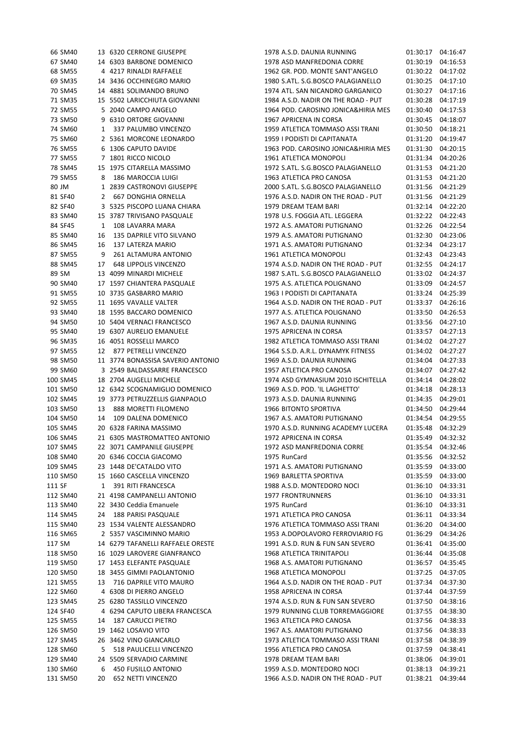|        | 66 SM40  |    | 13 6320 CERRONE GIUSEPPE          | 1978 A.S.D. DAUNIA RUNNING          |                                     | 01:30:17 04:16:47 |                   |
|--------|----------|----|-----------------------------------|-------------------------------------|-------------------------------------|-------------------|-------------------|
|        | 67 SM40  |    | 14 6303 BARBONE DOMENICO          | 1978 ASD MANFREDONIA CORRE          |                                     | 01:30:19 04:16:53 |                   |
|        | 68 SM55  |    | 4 4217 RINALDI RAFFAELE           | 1962 GR. POD. MONTE SANT'ANGELO     |                                     | 01:30:22 04:17:02 |                   |
|        | 69 SM35  |    | 14 3436 OCCHINEGRO MARIO          | 1980 S.ATL. S.G.BOSCO PALAGIANELLO  |                                     | 01:30:25 04:17:10 |                   |
|        | 70 SM45  |    | 14 4881 SOLIMANDO BRUNO           | 1974 ATL. SAN NICANDRO GARGANICO    |                                     | 01:30:27 04:17:16 |                   |
|        | 71 SM35  |    | 15 5502 LARICCHIUTA GIOVANNI      | 1984 A.S.D. NADIR ON THE ROAD - PUT |                                     | 01:30:28 04:17:19 |                   |
|        | 72 SM55  |    | 5 2040 CAMPO ANGELO               |                                     | 1964 POD. CAROSINO JONICA&HIRIA MES | 01:30:40 04:17:53 |                   |
|        | 73 SM50  |    | 9 6310 ORTORE GIOVANNI            | 1967 APRICENA IN CORSA              |                                     | 01:30:45          | 04:18:07          |
|        | 74 SM60  | 1  | 337 PALUMBO VINCENZO              | 1959 ATLETICA TOMMASO ASSI TRANI    |                                     | 01:30:50 04:18:21 |                   |
|        | 75 SM60  |    | 2 5361 MORCONE LEONARDO           | 1959 I PODISTI DI CAPITANATA        |                                     | 01:31:20 04:19:47 |                   |
|        | 76 SM55  |    | 6 1306 CAPUTO DAVIDE              |                                     | 1963 POD. CAROSINO JONICA&HIRIA MES | 01:31:30 04:20:15 |                   |
|        | 77 SM55  |    | 7 1801 RICCO NICOLO               | 1961 ATLETICA MONOPOLI              |                                     | 01:31:34 04:20:26 |                   |
|        | 78 SM45  |    | 15 1975 CITARELLA MASSIMO         | 1972 S.ATL. S.G.BOSCO PALAGIANELLO  |                                     | 01:31:53 04:21:20 |                   |
|        | 79 SM55  | 8  | 186 MAROCCIA LUIGI                | 1963 ATLETICA PRO CANOSA            |                                     | 01:31:53          | 04:21:20          |
| 80 JM  |          |    | 1 2839 CASTRONOVI GIUSEPPE        | 2000 S.ATL. S.G.BOSCO PALAGIANELLO  |                                     | 01:31:56 04:21:29 |                   |
|        | 81 SF40  | 2  | <b>667 DONGHIA ORNELLA</b>        | 1976 A.S.D. NADIR ON THE ROAD - PUT |                                     | 01:31:56          | 04:21:29          |
|        | 82 SF40  |    | 3 5325 PISCOPO LUANA CHIARA       | 1979 DREAM TEAM BARI                |                                     | 01:32:14 04:22:20 |                   |
|        | 83 SM40  |    | 15 3787 TRIVISANO PASQUALE        | 1978 U.S. FOGGIA ATL. LEGGERA       |                                     | 01:32:22 04:22:43 |                   |
|        | 84 SF45  | 1  | 108 LAVARRA MARA                  | 1972 A.S. AMATORI PUTIGNANO         |                                     | 01:32:26 04:22:54 |                   |
|        | 85 SM40  | 16 | 135 DAPRILE VITO SILVANO          | 1979 A.S. AMATORI PUTIGNANO         |                                     | 01:32:30 04:23:06 |                   |
|        | 86 SM45  | 16 | 137 LATERZA MARIO                 | 1971 A.S. AMATORI PUTIGNANO         |                                     | 01:32:34 04:23:17 |                   |
|        | 87 SM55  | 9  | 261 ALTAMURA ANTONIO              | 1961 ATLETICA MONOPOLI              |                                     | 01:32:43          | 04:23:43          |
|        | 88 SM45  | 17 | <b>648 LIPPOLIS VINCENZO</b>      | 1974 A.S.D. NADIR ON THE ROAD - PUT |                                     | 01:32:55 04:24:17 |                   |
| 89 SM  |          |    | 13 4099 MINARDI MICHELE           | 1987 S.ATL. S.G.BOSCO PALAGIANELLO  |                                     | 01:33:02 04:24:37 |                   |
|        | 90 SM40  |    | 17 1597 CHIANTERA PASQUALE        | 1975 A.S. ATLETICA POLIGNANO        |                                     | 01:33:09 04:24:57 |                   |
|        | 91 SM55  |    | 10 3735 GASBARRO MARIO            | 1963 I PODISTI DI CAPITANATA        |                                     | 01:33:24 04:25:39 |                   |
|        | 92 SM55  |    | 11 1695 VAVALLE VALTER            | 1964 A.S.D. NADIR ON THE ROAD - PUT |                                     | 01:33:37 04:26:16 |                   |
|        | 93 SM40  |    | 18 1595 BACCARO DOMENICO          | 1977 A.S. ATLETICA POLIGNANO        |                                     | 01:33:50          | 04:26:53          |
|        | 94 SM50  |    | 10 5404 VERNACI FRANCESCO         | 1967 A.S.D. DAUNIA RUNNING          |                                     | 01:33:56          | 04:27:10          |
|        | 95 SM40  |    | 19 6307 AURELIO EMANUELE          | 1975 APRICENA IN CORSA              |                                     | 01:33:57 04:27:13 |                   |
|        | 96 SM35  |    | 16 4051 ROSSELLI MARCO            | 1982 ATLETICA TOMMASO ASSI TRANI    |                                     | 01:34:02 04:27:27 |                   |
|        | 97 SM55  | 12 | 877 PETRELLI VINCENZO             | 1964 S.S.D. A.R.L. DYNAMYK FITNESS  |                                     | 01:34:02 04:27:27 |                   |
|        | 98 SM50  |    | 11 3774 BONASSISA SAVERIO ANTONIO | 1969 A.S.D. DAUNIA RUNNING          |                                     | 01:34:04 04:27:33 |                   |
|        | 99 SM60  |    | 3 2549 BALDASSARRE FRANCESCO      | 1957 ATLETICA PRO CANOSA            |                                     | 01:34:07          | 04:27:42          |
|        | 100 SM45 |    | 18 2704 AUGELLI MICHELE           | 1974 ASD GYMNASIUM 2010 ISCHITELLA  |                                     | 01:34:14 04:28:02 |                   |
|        | 101 SM50 |    | 12 6342 SCOGNAMIGLIO DOMENICO     | 1969 A.S.D. POD. 'IL LAGHETTO'      |                                     | 01:34:18 04:28:13 |                   |
|        | 102 SM45 |    | 19 3773 PETRUZZELLIS GIANPAOLO    | 1973 A.S.D. DAUNIA RUNNING          |                                     | 01:34:35 04:29:01 |                   |
|        | 103 SM50 |    | 13 888 MORETTI FILOMENO           | 1966 BITONTO SPORTIVA               |                                     | 01:34:50 04:29:44 |                   |
|        | 104 SM50 | 14 | 109 DALENA DOMENICO               | 1967 A.S. AMATORI PUTIGNANO         |                                     | 01:34:54          | 04:29:55          |
|        | 105 SM45 |    | 20 6328 FARINA MASSIMO            | 1970 A.S.D. RUNNING ACADEMY LUCERA  |                                     | 01:35:48          | 04:32:29          |
|        | 106 SM45 |    | 21 6305 MASTROMATTEO ANTONIO      | 1972 APRICENA IN CORSA              |                                     | 01:35:49          | 04:32:32          |
|        | 107 SM45 |    | 22 3071 CAMPANILE GIUSEPPE        | 1972 ASD MANFREDONIA CORRE          |                                     | 01:35:54 04:32:46 |                   |
|        | 108 SM40 |    | 20 6346 COCCIA GIACOMO            | 1975 RunCard                        |                                     | 01:35:56 04:32:52 |                   |
|        | 109 SM45 |    | 23 1448 DE'CATALDO VITO           | 1971 A.S. AMATORI PUTIGNANO         |                                     | 01:35:59 04:33:00 |                   |
|        | 110 SM50 |    | 15 1660 CASCELLA VINCENZO         | 1969 BARLETTA SPORTIVA              |                                     | 01:35:59 04:33:00 |                   |
| 111 SF |          | 1  | 391 RITI FRANCESCA                | 1988 A.S.D. MONTEDORO NOCI          |                                     |                   | 01:36:10 04:33:31 |
|        | 112 SM40 |    | 21 4198 CAMPANELLI ANTONIO        | <b>1977 FRONTRUNNERS</b>            |                                     | 01:36:10          | 04:33:31          |
|        | 113 SM40 |    | 22 3430 Ceddia Emanuele           | 1975 RunCard                        |                                     | 01:36:10 04:33:31 |                   |
|        | 114 SM45 | 24 | 188 PARISI PASQUALE               | 1971 ATLETICA PRO CANOSA            |                                     | 01:36:11 04:33:34 |                   |
|        | 115 SM40 |    | 23 1534 VALENTE ALESSANDRO        | 1976 ATLETICA TOMMASO ASSI TRANI    |                                     | 01:36:20 04:34:00 |                   |
|        | 116 SM65 |    | 2 5357 VASCIMINNO MARIO           | 1953 A.DOPOLAVORO FERROVIARIO FG    |                                     |                   | 01:36:29 04:34:26 |
| 117 SM |          |    | 14 6279 TAFANELLI RAFFAELE ORESTE | 1991 A.S.D. RUN & FUN SAN SEVERO    |                                     |                   | 01:36:41 04:35:00 |
|        | 118 SM50 |    | 16 1029 LAROVERE GIANFRANCO       | 1968 ATLETICA TRINITAPOLI           |                                     | 01:36:44 04:35:08 |                   |
|        | 119 SM50 |    | 17 1453 ELEFANTE PASQUALE         | 1968 A.S. AMATORI PUTIGNANO         |                                     | 01:36:57 04:35:45 |                   |
|        | 120 SM50 |    | 18 3455 GIMMI PAOLANTONIO         | 1968 ATLETICA MONOPOLI              |                                     | 01:37:25 04:37:05 |                   |
|        | 121 SM55 | 13 | 716 DAPRILE VITO MAURO            | 1964 A.S.D. NADIR ON THE ROAD - PUT |                                     | 01:37:34 04:37:30 |                   |
|        | 122 SM60 |    | 4 6308 DI PIERRO ANGELO           | 1958 APRICENA IN CORSA              |                                     | 01:37:44 04:37:59 |                   |
|        | 123 SM45 |    | 25 6280 TASSILLO VINCENZO         | 1974 A.S.D. RUN & FUN SAN SEVERO    |                                     | 01:37:50 04:38:16 |                   |
|        | 124 SF40 |    | 4 6294 CAPUTO LIBERA FRANCESCA    | 1979 RUNNING CLUB TORREMAGGIORE     |                                     | 01:37:55          | 04:38:30          |
|        | 125 SM55 | 14 | <b>187 CARUCCI PIETRO</b>         | 1963 ATLETICA PRO CANOSA            |                                     | 01:37:56          | 04:38:33          |
|        | 126 SM50 |    | 19 1462 LOSAVIO VITO              | 1967 A.S. AMATORI PUTIGNANO         |                                     | 01:37:56          | 04:38:33          |
|        | 127 SM45 |    | 26 3462 VINO GIANCARLO            | 1973 ATLETICA TOMMASO ASSI TRANI    |                                     | 01:37:58 04:38:39 |                   |
|        | 128 SM60 | 5  | 518 PAULICELLI VINCENZO           | 1956 ATLETICA PRO CANOSA            |                                     | 01:37:59 04:38:41 |                   |
|        | 129 SM40 |    | 24 5509 SERVADIO CARMINE          | 1978 DREAM TEAM BARI                |                                     |                   | 01:38:06 04:39:01 |
|        | 130 SM60 | 6  | 450 FUSILLO ANTONIO               | 1959 A.S.D. MONTEDORO NOCI          |                                     |                   | 01:38:13 04:39:21 |
|        | 131 SM50 | 20 | 652 NETTI VINCENZO                | 1966 A.S.D. NADIR ON THE ROAD - PUT |                                     |                   | 01:38:21 04:39:44 |
|        |          |    |                                   |                                     |                                     |                   |                   |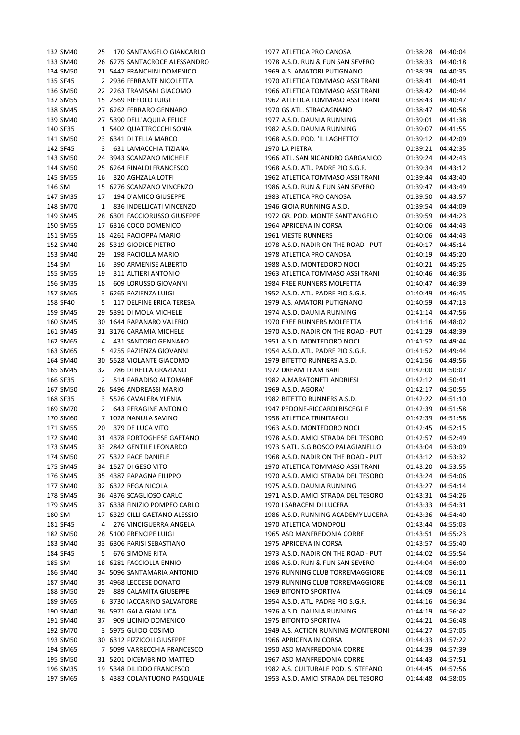| 132 SM40 | 25           | 170 SANTANGELO GIANCARLO      |
|----------|--------------|-------------------------------|
| 133 SM40 |              | 26 6275 SANTACROCE ALESSANDRO |
| 134 SM50 | 21           | 5447 FRANCHINI DOMENICO       |
| 135 SF45 | 2            | 2936 FERRANTE NICOLETTA       |
| 136 SM50 | 22           | 2263 TRAVISANI GIACOMO        |
| 137 SM55 |              | 15 2569 RIEFOLO LUIGI         |
| 138 SM45 |              | 27 6262 FERRARO GENNARO       |
| 139 SM40 | 27           | 5390 DELL'AQUILA FELICE       |
|          |              |                               |
| 140 SF35 | $\mathbf{1}$ | 5402 QUATTROCCHI SONIA        |
| 141 SM50 | 23           | 6341 DI TELLA MARCO           |
| 142 SF45 | 3            | 631 LAMACCHIA TIZIANA         |
| 143 SM50 | 24           | 3943 SCANZANO MICHELE         |
| 144 SM50 | 25           | 6264 RINALDI FRANCESCO        |
| 145 SM55 | 16           | 320 AGHZALA LOTFI             |
| 146 SM   | 15           | 6276 SCANZANO VINCENZO        |
| 147 SM35 |              | 17 194 D'AMICO GIUSEPPE       |
| 148 SM70 | $\mathbf{1}$ | 836 INDELLICATI VINCENZO      |
| 149 SM45 | 28           | 6301 FACCIORUSSO GIUSEPPE     |
| 150 SM55 |              | 17 6316 COCO DOMENICO         |
| 151 SM55 |              | 18 4261 RACIOPPA MARIO        |
| 152 SM40 |              | 28 5319 GIODICE PIETRO        |
|          |              |                               |
| 153 SM40 | 29           | 198 PACIOLLA MARIO            |
| 154 SM   | 16           | 390 ARMENISE ALBERTO          |
| 155 SM55 | 19           | 311 ALTIERI ANTONIO           |
| 156 SM35 | 18           | 609 LORUSSO GIOVANNI          |
| 157 SM65 | 3            | 6265 PAZIENZA LUIGI           |
| 158 SF40 | 5            | 117 DELFINE ERICA TERESA      |
| 159 SM45 |              | 29 5391 DI MOLA MICHELE       |
| 160 SM45 |              | 30 1644 RAPANARO VALERIO      |
| 161 SM45 | 31           | 3176 CARAMIA MICHELE          |
| 162 SM65 | 4            | 431 SANTORO GENNARO           |
| 163 SM65 | 5            | 4255 PAZIENZA GIOVANNI        |
| 164 SM40 |              | 30 5528 VIOLANTE GIACOMO      |
| 165 SM45 | 32           | 786 DI RELLA GRAZIANO         |
| 166 SF35 | $\mathbf{2}$ | 514 PARADISO ALTOMARE         |
|          |              |                               |
| 167 SM50 | 26           | 5496 ANDREASSI MARIO          |
| 168 SF35 | 3            | 5526 CAVALERA YLENIA          |
| 169 SM70 | $\mathbf{2}$ | 643 PERAGINE ANTONIO          |
| 170 SM60 |              | 7 1028 NANULA SAVINO          |
| 171 SM55 | 20           | 379 DE LUCA VITO              |
| 172 SM40 | 31           | 4378 PORTOGHESE GAETANO       |
| 173 SM45 | 33           | 2842 GENTILE LEONARDO         |
| 174 SM50 | 27           | 5322 PACE DANIELE             |
| 175 SM45 | 34           | 1527 DI GESO VITO             |
| 176 SM45 |              | 35 4387 PAPAGNA FILIPPO       |
| 177 SM40 |              | 32 6322 REGA NICOLA           |
| 178 SM45 |              | 36 4376 SCAGLIOSO CARLO       |
| 179 SM45 |              | 37 6338 FINIZIO POMPEO CARLO  |
| 180 SM   | 17           | 6329 CILLI GAETANO ALESSIO    |
| 181 SF45 | 4            | 276 VINCIGUERRA ANGELA        |
|          |              |                               |
| 182 SM50 | 28           | 5100 PRENCIPE LUIGI           |
| 183 SM40 | 33           | 6306 PARISI SEBASTIANO        |
| 184 SF45 | 5            | 676 SIMONE RITA               |
| 185 SM   | 18           | 6281 FACCIOLLA ENNIO          |
| 186 SM40 | 34           | 5096 SANTAMARIA ANTONIO       |
| 187 SM40 | 35           | 4968 LECCESE DONATO           |
| 188 SM50 | 29           | 889 CALAMITA GIUSEPPE         |
| 189 SM65 | 6            | 3730 IACCARINO SALVATORE      |
| 190 SM40 | 36           | 5971 GALA GIANLUCA            |
| 191 SM40 | 37           | 909 LICINIO DOMENICO          |
| 192 SM70 | 3            | 5975 GUIDO COSIMO             |
| 193 SM50 |              | 30 6312 PIZZICOLI GIUSEPPE    |
| 194 SM65 | 7            | 5099 VARRECCHIA FRANCESCO     |
| 195 SM50 |              | 31 5201 DICEMBRINO MATTEO     |
|          |              |                               |
| 196 SM35 |              | 19 5348 DILIDDO FRANCESCO     |
| 197 SM65 |              | 8 4383 COLANTUONO PASQUALE    |

| 132 SM40 | 25 | 170 SANTANGELO GIANCARLO      | 1977 ATLETICA PRO CANOSA            | 01:38:28          | 04:40:04 |
|----------|----|-------------------------------|-------------------------------------|-------------------|----------|
| 133 SM40 |    | 26 6275 SANTACROCE ALESSANDRO | 1978 A.S.D. RUN & FUN SAN SEVERO    | 01:38:33          | 04:40:18 |
|          |    |                               |                                     | 01:38:39          |          |
| 134 SM50 |    | 21 5447 FRANCHINI DOMENICO    | 1969 A.S. AMATORI PUTIGNANO         |                   | 04:40:35 |
| 135 SF45 |    | 2 2936 FERRANTE NICOLETTA     | 1970 ATLETICA TOMMASO ASSI TRANI    | 01:38:41          | 04:40:41 |
| 136 SM50 |    | 22 2263 TRAVISANI GIACOMO     | 1966 ATLETICA TOMMASO ASSI TRANI    | 01:38:42          | 04:40:44 |
| 137 SM55 |    | 15 2569 RIEFOLO LUIGI         | 1962 ATLETICA TOMMASO ASSI TRANI    | 01:38:43          | 04:40:47 |
| 138 SM45 |    | 27 6262 FERRARO GENNARO       | 1970 GS ATL. STRACAGNANO            | 01:38:47          | 04:40:58 |
| 139 SM40 |    | 27 5390 DELL'AQUILA FELICE    | 1977 A.S.D. DAUNIA RUNNING          | 01:39:01          | 04:41:38 |
| 140 SF35 |    | 1 5402 QUATTROCCHI SONIA      | 1982 A.S.D. DAUNIA RUNNING          | 01:39:07          | 04:41:55 |
| 141 SM50 |    | 23 6341 DI TELLA MARCO        | 1968 A.S.D. POD. 'IL LAGHETTO'      | 01:39:12          | 04:42:09 |
| 142 SF45 | 3  | 631 LAMACCHIA TIZIANA         | 1970 LA PIETRA                      | 01:39:21          | 04:42:35 |
| 143 SM50 |    | 24 3943 SCANZANO MICHELE      | 1966 ATL. SAN NICANDRO GARGANICO    | 01:39:24          | 04:42:43 |
| 144 SM50 |    | 25 6264 RINALDI FRANCESCO     | 1968 A.S.D. ATL. PADRE PIO S.G.R.   | 01:39:34          | 04:43:12 |
| 145 SM55 | 16 | 320 AGHZALA LOTFI             | 1962 ATLETICA TOMMASO ASSI TRANI    | 01:39:44          | 04:43:40 |
| 146 SM   |    | 15 6276 SCANZANO VINCENZO     | 1986 A.S.D. RUN & FUN SAN SEVERO    | 01:39:47          | 04:43:49 |
| 147 SM35 | 17 | 194 D'AMICO GIUSEPPE          | 1983 ATLETICA PRO CANOSA            | 01:39:50          | 04:43:57 |
| 148 SM70 | 1  | 836 INDELLICATI VINCENZO      | 1946 GIOIA RUNNING A.S.D.           | 01:39:54          | 04:44:09 |
| 149 SM45 |    | 28 6301 FACCIORUSSO GIUSEPPE  | 1972 GR. POD. MONTE SANT'ANGELO     | 01:39:59          | 04:44:23 |
| 150 SM55 |    | 17 6316 COCO DOMENICO         | 1964 APRICENA IN CORSA              | 01:40:06          | 04:44:43 |
|          |    |                               |                                     |                   |          |
| 151 SM55 |    | 18 4261 RACIOPPA MARIO        | 1961 VIESTE RUNNERS                 | 01:40:06          | 04:44:43 |
| 152 SM40 |    | 28 5319 GIODICE PIETRO        | 1978 A.S.D. NADIR ON THE ROAD - PUT | 01:40:17          | 04:45:14 |
| 153 SM40 | 29 | 198 PACIOLLA MARIO            | 1978 ATLETICA PRO CANOSA            | 01:40:19          | 04:45:20 |
| 154 SM   | 16 | 390 ARMENISE ALBERTO          | 1988 A.S.D. MONTEDORO NOCI          | 01:40:21          | 04:45:25 |
| 155 SM55 | 19 | 311 ALTIERI ANTONIO           | 1963 ATLETICA TOMMASO ASSI TRANI    | 01:40:46          | 04:46:36 |
| 156 SM35 | 18 | 609 LORUSSO GIOVANNI          | 1984 FREE RUNNERS MOLFETTA          | 01:40:47          | 04:46:39 |
| 157 SM65 |    | 3 6265 PAZIENZA LUIGI         | 1952 A.S.D. ATL. PADRE PIO S.G.R.   | 01:40:49          | 04:46:45 |
| 158 SF40 | 5  | 117 DELFINE ERICA TERESA      | 1979 A.S. AMATORI PUTIGNANO         | 01:40:59          | 04:47:13 |
| 159 SM45 |    | 29 5391 DI MOLA MICHELE       | 1974 A.S.D. DAUNIA RUNNING          | 01:41:14          | 04:47:56 |
| 160 SM45 |    | 30 1644 RAPANARO VALERIO      | 1970 FREE RUNNERS MOLFETTA          | 01:41:16          | 04:48:02 |
| 161 SM45 |    | 31 3176 CARAMIA MICHELE       | 1970 A.S.D. NADIR ON THE ROAD - PUT | 01:41:29          | 04:48:39 |
| 162 SM65 | 4  | 431 SANTORO GENNARO           | 1951 A.S.D. MONTEDORO NOCI          | 01:41:52          | 04:49:44 |
| 163 SM65 |    | 5 4255 PAZIENZA GIOVANNI      | 1954 A.S.D. ATL. PADRE PIO S.G.R.   | 01:41:52          | 04:49:44 |
| 164 SM40 |    | 30 5528 VIOLANTE GIACOMO      | 1979 BITETTO RUNNERS A.S.D.         | 01:41:56          | 04:49:56 |
| 165 SM45 | 32 | 786 DI RELLA GRAZIANO         | 1972 DREAM TEAM BARI                | 01:42:00          | 04:50:07 |
| 166 SF35 | 2  | 514 PARADISO ALTOMARE         | 1982 A.MARATONETI ANDRIESI          | 01:42:12          | 04:50:41 |
|          |    | 26 5496 ANDREASSI MARIO       | 1969 A.S.D. AGORA'                  |                   |          |
| 167 SM50 |    |                               |                                     | 01:42:17          | 04:50:55 |
| 168 SF35 |    | 3 5526 CAVALERA YLENIA        | 1982 BITETTO RUNNERS A.S.D.         | 01:42:22          | 04:51:10 |
| 169 SM70 | 2  | <b>643 PERAGINE ANTONIO</b>   | 1947 PEDONE-RICCARDI BISCEGLIE      | 01:42:39          | 04:51:58 |
| 170 SM60 |    | 7 1028 NANULA SAVINO          | 1958 ATLETICA TRINITAPOLI           | 01:42:39          | 04:51:58 |
| 171 SM55 | 20 | 379 DE LUCA VITO              | 1963 A.S.D. MONTEDORO NOCI          | 01:42:45 04:52:15 |          |
| 172 SM40 |    | 31 4378 PORTOGHESE GAETANO    | 1978 A.S.D. AMICI STRADA DEL TESORO | 01:42:57 04:52:49 |          |
| 173 SM45 |    | 33 2842 GENTILE LEONARDO      | 1973 S.ATL. S.G.BOSCO PALAGIANELLO  | 01:43:04 04:53:09 |          |
| 174 SM50 |    | 27 5322 PACE DANIELE          | 1968 A.S.D. NADIR ON THE ROAD - PUT | 01:43:12 04:53:32 |          |
| 175 SM45 |    | 34 1527 DI GESO VITO          | 1970 ATLETICA TOMMASO ASSI TRANI    | 01:43:20          | 04:53:55 |
| 176 SM45 |    | 35 4387 PAPAGNA FILIPPO       | 1970 A.S.D. AMICI STRADA DEL TESORO | 01:43:24          | 04:54:06 |
| 177 SM40 |    | 32 6322 REGA NICOLA           | 1975 A.S.D. DAUNIA RUNNING          | 01:43:27          | 04:54:14 |
| 178 SM45 |    | 36 4376 SCAGLIOSO CARLO       | 1971 A.S.D. AMICI STRADA DEL TESORO | 01:43:31          | 04:54:26 |
| 179 SM45 |    | 37 6338 FINIZIO POMPEO CARLO  | 1970 I SARACENI DI LUCERA           | 01:43:33          | 04:54:31 |
| 180 SM   |    | 17 6329 CILLI GAETANO ALESSIO | 1986 A.S.D. RUNNING ACADEMY LUCERA  | 01:43:36          | 04:54:40 |
| 181 SF45 | 4  | 276 VINCIGUERRA ANGELA        | 1970 ATLETICA MONOPOLI              | 01:43:44          | 04:55:03 |
| 182 SM50 |    | 28 5100 PRENCIPE LUIGI        | 1965 ASD MANFREDONIA CORRE          | 01:43:51          | 04:55:23 |
| 183 SM40 |    | 33 6306 PARISI SEBASTIANO     | 1975 APRICENA IN CORSA              | 01:43:57          | 04:55:40 |
| 184 SF45 | 5  | <b>676 SIMONE RITA</b>        | 1973 A.S.D. NADIR ON THE ROAD - PUT | 01:44:02          | 04:55:54 |
|          |    |                               |                                     |                   |          |
| 185 SM   |    | 18 6281 FACCIOLLA ENNIO       | 1986 A.S.D. RUN & FUN SAN SEVERO    | 01:44:04          | 04:56:00 |
| 186 SM40 |    | 34 5096 SANTAMARIA ANTONIO    | 1976 RUNNING CLUB TORREMAGGIORE     | 01:44:08          | 04:56:11 |
| 187 SM40 |    | 35 4968 LECCESE DONATO        | 1979 RUNNING CLUB TORREMAGGIORE     | 01:44:08          | 04:56:11 |
| 188 SM50 | 29 | 889 CALAMITA GIUSEPPE         | 1969 BITONTO SPORTIVA               | 01:44:09          | 04:56:14 |
| 189 SM65 |    | 6 3730 IACCARINO SALVATORE    | 1954 A.S.D. ATL. PADRE PIO S.G.R.   | 01:44:16          | 04:56:34 |
| 190 SM40 |    | 36 5971 GALA GIANLUCA         | 1976 A.S.D. DAUNIA RUNNING          | 01:44:19          | 04:56:42 |
| 191 SM40 | 37 | 909 LICINIO DOMENICO          | 1975 BITONTO SPORTIVA               | 01:44:21          | 04:56:48 |
| 192 SM70 |    | 3 5975 GUIDO COSIMO           | 1949 A.S. ACTION RUNNING MONTERONI  | 01:44:27          | 04:57:05 |
| 193 SM50 |    | 30 6312 PIZZICOLI GIUSEPPE    | 1966 APRICENA IN CORSA              | 01:44:33          | 04:57:22 |
| 194 SM65 |    | 7 5099 VARRECCHIA FRANCESCO   | 1950 ASD MANFREDONIA CORRE          | 01:44:39          | 04:57:39 |
| 195 SM50 |    | 31 5201 DICEMBRINO MATTEO     | 1967 ASD MANFREDONIA CORRE          | 01:44:43          | 04:57:51 |
| 196 SM35 |    | 19 5348 DILIDDO FRANCESCO     | 1982 A.S. CULTURALE POD. S. STEFANO | 01:44:45          | 04:57:56 |
| 197 SM65 |    | 8 4383 COLANTUONO PASQUALE    | 1953 A.S.D. AMICI STRADA DEL TESORO | 01:44:48          | 04:58:05 |
|          |    |                               |                                     |                   |          |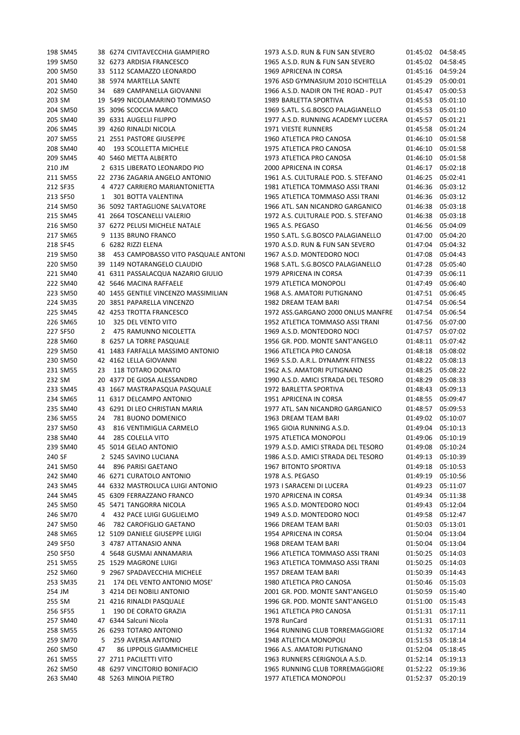| 198 SM45 |    | 38 6274 CIVITAVECCHIA GIAMPIERO      | 1973 A.S.D. RUN & FUN SAN SEVERO    | 01:45:02 04:58:45 |          |
|----------|----|--------------------------------------|-------------------------------------|-------------------|----------|
| 199 SM50 |    | 32 6273 ARDISIA FRANCESCO            | 1965 A.S.D. RUN & FUN SAN SEVERO    | 01:45:02          | 04:58:45 |
| 200 SM50 |    | 33 5112 SCAMAZZO LEONARDO            | 1969 APRICENA IN CORSA              | 01:45:16          | 04:59:24 |
| 201 SM40 |    | 38 5974 MARTELLA SANTE               | 1976 ASD GYMNASIUM 2010 ISCHITELLA  | 01:45:29          | 05:00:01 |
| 202 SM50 | 34 | 689 CAMPANELLA GIOVANNI              | 1966 A.S.D. NADIR ON THE ROAD - PUT | 01:45:47          | 05:00:53 |
| 203 SM   |    | 19 5499 NICOLAMARINO TOMMASO         | 1989 BARLETTA SPORTIVA              | 01:45:53          | 05:01:10 |
| 204 SM50 |    | 35 3096 SCOCCIA MARCO                | 1969 S.ATL. S.G.BOSCO PALAGIANELLO  | 01:45:53          | 05:01:10 |
|          |    |                                      |                                     |                   |          |
| 205 SM40 |    | 39 6331 AUGELLI FILIPPO              | 1977 A.S.D. RUNNING ACADEMY LUCERA  | 01:45:57          | 05:01:21 |
| 206 SM45 |    | 39 4260 RINALDI NICOLA               | 1971 VIESTE RUNNERS                 | 01:45:58          | 05:01:24 |
| 207 SM55 |    | 21 2551 PASTORE GIUSEPPE             | 1960 ATLETICA PRO CANOSA            | 01:46:10          | 05:01:58 |
| 208 SM40 | 40 | 193 SCOLLETTA MICHELE                | 1975 ATLETICA PRO CANOSA            | 01:46:10          | 05:01:58 |
| 209 SM45 |    | 40 5460 METTA ALBERTO                | 1973 ATLETICA PRO CANOSA            | 01:46:10          | 05:01:58 |
| 210 JM   |    | 2 6315 LIBERATO LEONARDO PIO         | 2000 APRICENA IN CORSA              | 01:46:17          | 05:02:18 |
| 211 SM55 |    | 22 2736 ZAGARIA ANGELO ANTONIO       | 1961 A.S. CULTURALE POD. S. STEFANO | 01:46:25          | 05:02:41 |
| 212 SF35 |    | 4 4727 CARRIERO MARIANTONIETTA       | 1981 ATLETICA TOMMASO ASSI TRANI    | 01:46:36          | 05:03:12 |
| 213 SF50 | 1  | 301 BOTTA VALENTINA                  | 1965 ATLETICA TOMMASO ASSI TRANI    | 01:46:36          | 05:03:12 |
| 214 SM50 |    | 36 5092 TARTAGLIONE SALVATORE        | 1966 ATL. SAN NICANDRO GARGANICO    | 01:46:38          | 05:03:18 |
| 215 SM45 |    | 41 2664 TOSCANELLI VALERIO           | 1972 A.S. CULTURALE POD. S. STEFANO | 01:46:38          | 05:03:18 |
| 216 SM50 |    | 37 6272 PELUSI MICHELE NATALE        | 1965 A.S. PEGASO                    | 01:46:56          | 05:04:09 |
| 217 SM65 |    | 9 1135 BRUNO FRANCO                  | 1950 S.ATL. S.G.BOSCO PALAGIANELLO  | 01:47:00          | 05:04:20 |
| 218 SF45 |    | 6 6282 RIZZI ELENA                   | 1970 A.S.D. RUN & FUN SAN SEVERO    | 01:47:04          | 05:04:32 |
|          |    |                                      |                                     |                   |          |
| 219 SM50 | 38 | 453 CAMPOBASSO VITO PASQUALE ANTONI  | 1967 A.S.D. MONTEDORO NOCI          | 01:47:08          | 05:04:43 |
| 220 SM50 |    | 39 1149 NOTARANGELO CLAUDIO          | 1968 S.ATL. S.G.BOSCO PALAGIANELLO  | 01:47:28          | 05:05:40 |
| 221 SM40 |    | 41 6311 PASSALACQUA NAZARIO GIULIO   | 1979 APRICENA IN CORSA              | 01:47:39          | 05:06:11 |
| 222 SM40 |    | 42 5646 MACINA RAFFAELE              | 1979 ATLETICA MONOPOLI              | 01:47:49          | 05:06:40 |
| 223 SM50 |    | 40 1455 GENTILE VINCENZO MASSIMILIAN | 1968 A.S. AMATORI PUTIGNANO         | 01:47:51          | 05:06:45 |
| 224 SM35 |    | 20 3851 PAPARELLA VINCENZO           | 1982 DREAM TEAM BARI                | 01:47:54          | 05:06:54 |
| 225 SM45 |    | 42 4253 TROTTA FRANCESCO             | 1972 ASS.GARGANO 2000 ONLUS MANFRE  | 01:47:54          | 05:06:54 |
| 226 SM65 | 10 | 325 DEL VENTO VITO                   | 1952 ATLETICA TOMMASO ASSI TRANI    | 01:47:56          | 05:07:00 |
| 227 SF50 | 2  | 475 RAMUNNO NICOLETTA                | 1969 A.S.D. MONTEDORO NOCI          | 01:47:57          | 05:07:02 |
| 228 SM60 |    | 8 6257 LA TORRE PASQUALE             | 1956 GR. POD. MONTE SANT'ANGELO     | 01:48:11          | 05:07:42 |
| 229 SM50 |    | 41 1483 FARFALLA MASSIMO ANTONIO     | 1966 ATLETICA PRO CANOSA            | 01:48:18          | 05:08:02 |
| 230 SM50 |    | 42 4162 LELLA GIOVANNI               | 1969 S.S.D. A.R.L. DYNAMYK FITNESS  | 01:48:22          | 05:08:13 |
| 231 SM55 | 23 | 118 TOTARO DONATO                    | 1962 A.S. AMATORI PUTIGNANO         | 01:48:25          | 05:08:22 |
| 232 SM   |    | 20 4377 DE GIOSA ALESSANDRO          | 1990 A.S.D. AMICI STRADA DEL TESORO | 01:48:29          | 05:08:33 |
| 233 SM45 |    | 43 1667 MASTRAPASQUA PASQUALE        | 1972 BARLETTA SPORTIVA              | 01:48:43          | 05:09:13 |
|          |    | 11 6317 DELCAMPO ANTONIO             |                                     | 01:48:55          | 05:09:47 |
| 234 SM65 |    |                                      | 1951 APRICENA IN CORSA              |                   |          |
| 235 SM40 |    | 43 6291 DI LEO CHRISTIAN MARIA       | 1977 ATL. SAN NICANDRO GARGANICO    | 01:48:57          | 05:09:53 |
| 236 SM55 | 24 | 781 BUONO DOMENICO                   | 1963 DREAM TEAM BARI                | 01:49:02          | 05:10:07 |
| 237 SM50 | 43 | 816 VENTIMIGLIA CARMELO              | 1965 GIOIA RUNNING A.S.D.           | 01:49:04          | 05:10:13 |
| 238 SM40 | 44 | 285 COLELLA VITO                     | 1975 ATLETICA MONOPOLI              | 01:49:06 05:10:19 |          |
| 239 SM40 |    | 45 5014 GELAO ANTONIO                | 1979 A.S.D. AMICI STRADA DEL TESORO | 01:49:08          | 05:10:24 |
| 240 SF   |    | 2 5245 SAVINO LUCIANA                | 1986 A.S.D. AMICI STRADA DEL TESORO | 01:49:13          | 05:10:39 |
| 241 SM50 | 44 | 896 PARISI GAETANO                   | 1967 BITONTO SPORTIVA               | 01:49:18          | 05:10:53 |
| 242 SM40 |    | 46 6271 CURATOLO ANTONIO             | 1978 A.S. PEGASO                    | 01:49:19          | 05:10:56 |
| 243 SM45 |    | 44 6332 MASTROLUCA LUIGI ANTONIO     | 1973 I SARACENI DI LUCERA           | 01:49:23          | 05:11:07 |
| 244 SM45 |    | 45 6309 FERRAZZANO FRANCO            | 1970 APRICENA IN CORSA              | 01:49:34          | 05:11:38 |
| 245 SM50 |    | 45 5471 TANGORRA NICOLA              | 1965 A.S.D. MONTEDORO NOCI          | 01:49:43          | 05:12:04 |
| 246 SM70 | 4  | 432 PACE LUIGI GUGLIELMO             | 1949 A.S.D. MONTEDORO NOCI          | 01:49:58          | 05:12:47 |
| 247 SM50 | 46 | 782 CAROFIGLIO GAETANO               | 1966 DREAM TEAM BARI                | 01:50:03          | 05:13:01 |
| 248 SM65 |    | 12 5109 DANIELE GIUSEPPE LUIGI       | 1954 APRICENA IN CORSA              | 01:50:04          | 05:13:04 |
| 249 SF50 |    | 3 4787 ATTANASIO ANNA                | 1968 DREAM TEAM BARI                | 01:50:04          | 05:13:04 |
|          |    |                                      | 1966 ATLETICA TOMMASO ASSI TRANI    |                   |          |
| 250 SF50 |    | 4 5648 GUSMAI ANNAMARIA              |                                     | 01:50:25          | 05:14:03 |
| 251 SM55 |    | 25 1529 MAGRONE LUIGI                | 1963 ATLETICA TOMMASO ASSI TRANI    | 01:50:25          | 05:14:03 |
| 252 SM60 |    | 9 2967 SPADAVECCHIA MICHELE          | 1957 DREAM TEAM BARI                | 01:50:39          | 05:14:43 |
| 253 SM35 | 21 | 174 DEL VENTO ANTONIO MOSE'          | 1980 ATLETICA PRO CANOSA            | 01:50:46          | 05:15:03 |
| 254 JM   |    | 3 4214 DEI NOBILI ANTONIO            | 2001 GR. POD. MONTE SANT'ANGELO     | 01:50:59          | 05:15:40 |
| 255 SM   |    | 21 4216 RINALDI PASQUALE             | 1996 GR. POD. MONTE SANT'ANGELO     | 01:51:00          | 05:15:43 |
| 256 SF55 | 1  | 190 DE CORATO GRAZIA                 | 1961 ATLETICA PRO CANOSA            | 01:51:31          | 05:17:11 |
| 257 SM40 |    | 47 6344 Salcuni Nicola               | 1978 RunCard                        | 01:51:31          | 05:17:11 |
| 258 SM55 |    | 26 6293 TOTARO ANTONIO               | 1964 RUNNING CLUB TORREMAGGIORE     | 01:51:32          | 05:17:14 |
| 259 SM70 | 5  | 259 AVERSA ANTONIO                   | 1948 ATLETICA MONOPOLI              | 01:51:53          | 05:18:14 |
| 260 SM50 | 47 | 86 LIPPOLIS GIAMMICHELE              | 1966 A.S. AMATORI PUTIGNANO         | 01:52:04          | 05:18:45 |
| 261 SM55 |    | 27 2711 PACILETTI VITO               | 1963 RUNNERS CERIGNOLA A.S.D.       | 01:52:14          | 05:19:13 |
| 262 SM50 |    | 48 6297 VINCITORIO BONIFACIO         | 1965 RUNNING CLUB TORREMAGGIORE     | 01:52:22          | 05:19:36 |
| 263 SM40 |    | 48 5263 MINOIA PIETRO                | 1977 ATLETICA MONOPOLI              | 01:52:37          | 05:20:19 |
|          |    |                                      |                                     |                   |          |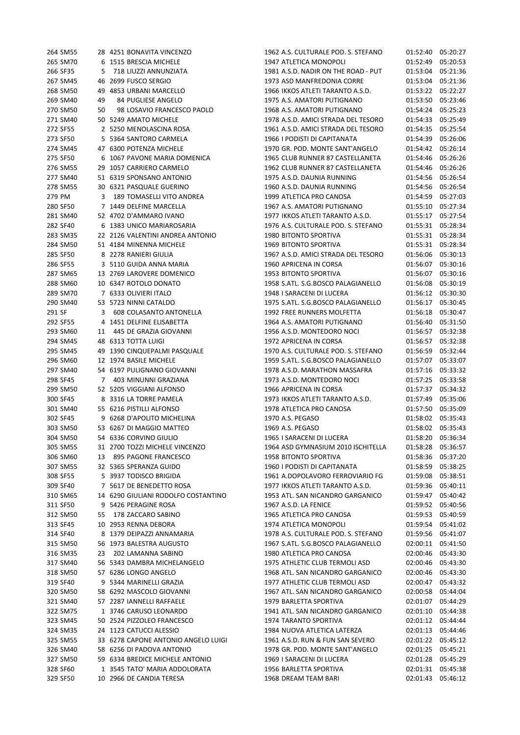| 264 SM55             |    | 28 4251 BONAVITA VINCENZO                              | 1962 A.S. CULTURALE POD. S. STEFANO                                       |                      | 01:52:40 05:20:27    |
|----------------------|----|--------------------------------------------------------|---------------------------------------------------------------------------|----------------------|----------------------|
| 265 SM70             |    | 6 1515 BRESCIA MICHELE                                 | 1947 ATLETICA MONOPOLI                                                    | 01:52:49             | 05:20:53             |
| 266 SF35             | 5  | 718 LIUZZI ANNUNZIATA                                  | 1981 A.S.D. NADIR ON THE ROAD - PUT                                       | 01:53:04             | 05:21:36             |
| 267 SM45             |    | 46 2699 FUSCO SERGIO                                   | 1973 ASD MANFREDONIA CORRE                                                | 01:53:04             | 05:21:36             |
| 268 SM50             |    | 49 4853 URBANI MARCELLO                                | 1966 IKKOS ATLETI TARANTO A.S.D.                                          |                      | 01:53:22 05:22:27    |
| 269 SM40             | 49 | 84 PUGLIESE ANGELO                                     | 1975 A.S. AMATORI PUTIGNANO                                               | 01:53:50 05:23:46    |                      |
| 270 SM50             | 50 | 98 LOSAVIO FRANCESCO PAOLO                             | 1968 A.S. AMATORI PUTIGNANO                                               | 01:54:24             | 05:25:23             |
| 271 SM40             |    | 50 5249 AMATO MICHELE                                  | 1978 A.S.D. AMICI STRADA DEL TESORO                                       | 01:54:33             | 05:25:49             |
| 272 SF55             |    | 2 5250 MENOLASCINA ROSA                                | 1961 A.S.D. AMICI STRADA DEL TESORO                                       |                      | 01:54:35 05:25:54    |
| 273 SF50             |    | 5 5364 SANTORO CARMELA                                 | 1966 I PODISTI DI CAPITANATA                                              |                      | 01:54:39 05:26:06    |
| 274 SM45             |    | 47 6300 POTENZA MICHELE                                | 1970 GR. POD. MONTE SANT'ANGELO                                           |                      | 01:54:42 05:26:14    |
| 275 SF50             |    | 6 1067 PAVONE MARIA DOMENICA                           | 1965 CLUB RUNNER 87 CASTELLANETA                                          |                      | 01:54:46 05:26:26    |
| 276 SM55             |    | 29 1057 CARRIERO CARMELO                               | 1962 CLUB RUNNER 87 CASTELLANETA                                          |                      | 01:54:46 05:26:26    |
| 277 SM40             |    | 51 6319 SPONSANO ANTONIO                               | 1975 A.S.D. DAUNIA RUNNING                                                |                      | 01:54:56 05:26:54    |
| 278 SM55             |    | 30 6321 PASQUALE GUERINO                               | 1960 A.S.D. DAUNIA RUNNING                                                |                      | 01:54:56 05:26:54    |
| 279 PM               | 3  | 189 TOMASELLI VITO ANDREA                              | 1999 ATLETICA PRO CANOSA                                                  | 01:54:59             | 05:27:03             |
| 280 SF50             |    | 7 1449 DELFINE MARCELLA                                | 1967 A.S. AMATORI PUTIGNANO                                               | 01:55:10 05:27:34    |                      |
| 281 SM40             |    | 52 4702 D'AMMARO IVANO                                 | 1977 IKKOS ATLETI TARANTO A.S.D.                                          | 01:55:17 05:27:54    |                      |
| 282 SF40             |    | 6 1383 UNICO MARIAROSARIA                              | 1976 A.S. CULTURALE POD. S. STEFANO                                       |                      | 01:55:31 05:28:34    |
| 283 SM35             |    | 22 2126 VALENTINI ANDREA ANTONIO                       | 1980 BITONTO SPORTIVA                                                     |                      | 01:55:31 05:28:34    |
| 284 SM50             |    | 51 4184 MINENNA MICHELE                                | 1969 BITONTO SPORTIVA                                                     |                      | 01:55:31 05:28:34    |
| 285 SF50             |    | 8 2278 RANIERI GIULIA                                  | 1967 A.S.D. AMICI STRADA DEL TESORO                                       |                      | 01:56:06 05:30:13    |
| 286 SF55             |    | 3 5110 GUIDA ANNA MARIA                                | 1960 APRICENA IN CORSA                                                    |                      | 01:56:07 05:30:16    |
| 287 SM65             |    | 13 2769 LAROVERE DOMENICO                              | 1953 BITONTO SPORTIVA                                                     |                      | 01:56:07 05:30:16    |
| 288 SM60             |    | 10 6347 ROTOLO DONATO                                  | 1958 S.ATL. S.G.BOSCO PALAGIANELLO                                        |                      | 01:56:08 05:30:19    |
| 289 SM70             |    | 7 6333 OLIVIERI ITALO                                  | 1948 I SARACENI DI LUCERA                                                 | 01:56:12             | 05:30:30             |
| 290 SM40             |    | 53 5723 NINNI CATALDO                                  | 1975 S.ATL. S.G.BOSCO PALAGIANELLO                                        | 01:56:17             | 05:30:45             |
| 291 SF               | 3  | 608 COLASANTO ANTONELLA                                | 1992 FREE RUNNERS MOLFETTA                                                | 01:56:18             | 05:30:47             |
| 292 SF55             |    | 4 1451 DELFINE ELISABETTA                              | 1964 A.S. AMATORI PUTIGNANO                                               |                      | 01:56:40 05:31:50    |
| 293 SM60             |    | 11 445 DE GRAZIA GIOVANNI                              | 1956 A.S.D. MONTEDORO NOCI                                                |                      | 01:56:57 05:32:38    |
|                      |    |                                                        |                                                                           |                      |                      |
| 294 SM45             |    | 48 6313 TOTTA LUIGI                                    | 1972 APRICENA IN CORSA                                                    |                      | 01:56:57 05:32:38    |
| 295 SM45<br>296 SM60 |    | 49 1390 CINQUEPALMI PASQUALE<br>12 1974 BASILE MICHELE | 1970 A.S. CULTURALE POD. S. STEFANO<br>1959 S.ATL. S.G.BOSCO PALAGIANELLO | 01:56:59<br>01:57:07 | 05:32:44<br>05:33:07 |
|                      |    |                                                        |                                                                           |                      |                      |
| 297 SM40             |    | 54 6197 PULIGNANO GIOVANNI                             | 1978 A.S.D. MARATHON MASSAFRA                                             |                      | 01:57:16 05:33:32    |
| 298 SF45             |    | 7 403 MINUNNI GRAZIANA                                 | 1973 A.S.D. MONTEDORO NOCI                                                |                      | 01:57:25 05:33:58    |
| 299 SM50             |    | 52 5205 VIGGIANI ALFONSO<br>8 3316 LA TORRE PAMELA     | 1966 APRICENA IN CORSA                                                    |                      | 01:57:37 05:34:32    |
| 300 SF45             |    |                                                        | 1973 IKKOS ATLETI TARANTO A.S.D.                                          |                      | 01:57:49 05:35:06    |
| 301 SM40             |    | 55 6216 PISTILLI ALFONSO                               | 1978 ATLETICA PRO CANOSA                                                  |                      | 01:57:50 05:35:09    |
| 302 SF45             |    | 9 6268 D'APOLITO MICHELINA                             | 1970 A.S. PEGASO                                                          | 01:58:02             | 05:35:43             |
| 303 SM50             |    | 53 6267 DI MAGGIO MATTEO                               | 1969 A.S. PEGASO                                                          |                      | 01:58:02 05:35:43    |
| 304 SM50             |    | 54 6336 CORVINO GIULIO                                 | 1965 I SARACENI DI LUCERA                                                 | 01:58:20 05:36:34    |                      |
| 305 SM55             |    | 31 2700 TOZZI MICHELE VINCENZO                         | 1964 ASD GYMNASIUM 2010 ISCHITELLA                                        | 01:58:28 05:36:57    |                      |
| 306 SM60             |    | 13 895 PAGONE FRANCESCO                                | 1958 BITONTO SPORTIVA                                                     |                      | 01:58:36 05:37:20    |
| 307 SM55             |    | 32 5365 SPERANZA GUIDO                                 | 1960 I PODISTI DI CAPITANATA                                              | 01:58:59             | 05:38:25             |
| 308 SF55             |    | 5 3937 TODISCO BRIGIDA                                 | 1961 A.DOPOLAVORO FERROVIARIO FG                                          | 01:59:08             | 05:38:51             |
| 309 SF40             |    | 7 5617 DE BENEDETTO ROSA                               | 1977 IKKOS ATLETI TARANTO A.S.D.                                          |                      | 01:59:36 05:40:11    |
| 310 SM65             |    | 14 6290 GIULIANI RODOLFO COSTANTINO                    | 1953 ATL. SAN NICANDRO GARGANICO                                          | 01:59:47             | 05:40:42             |
| 311 SF50             |    | 9 5426 PERAGINE ROSA                                   | 1967 A.S.D. LA FENICE                                                     | 01:59:52             | 05:40:56             |
| 312 SM50             | 55 | 178 ZACCARO SABINO                                     | 1965 ATLETICA PRO CANOSA                                                  | 01:59:53             | 05:40:59             |
| 313 SF45             |    | 10 2953 RENNA DEBORA                                   | 1974 ATLETICA MONOPOLI                                                    | 01:59:54             | 05:41:02             |
| 314 SF40             |    | 8 1379 DEIPAZZI ANNAMARIA                              | 1978 A.S. CULTURALE POD. S. STEFANO                                       | 01:59:56             | 05:41:07             |
| 315 SM50             |    | 56 1973 BALESTRA AUGUSTO                               | 1967 S.ATL. S.G.BOSCO PALAGIANELLO                                        | 02:00:11             | 05:41:50             |
| 316 SM35             | 23 | 202 LAMANNA SABINO                                     | 1980 ATLETICA PRO CANOSA                                                  | 02:00:46             | 05:43:30             |
| 317 SM40             |    | 56 5343 DAMBRA MICHELANGELO                            | 1975 ATHLETIC CLUB TERMOLI ASD                                            | 02:00:46             | 05:43:30             |
| 318 SM50             |    | 57 6286 LONGO ANGELO                                   | 1968 ATL. SAN NICANDRO GARGANICO                                          |                      | 02:00:46 05:43:30    |
| 319 SF40             |    | 9 5344 MARINELLI GRAZIA                                | 1977 ATHLETIC CLUB TERMOLI ASD                                            |                      | 02:00:47 05:43:32    |
| 320 SM50             |    | 58 6292 MASCOLO GIOVANNI                               | 1967 ATL. SAN NICANDRO GARGANICO                                          | 02:00:58             | 05:44:04             |
| 321 SM40             |    | 57 2287 IANNELLI RAFFAELE                              | 1979 BARLETTA SPORTIVA                                                    | 02:01:07             | 05:44:29             |
| 322 SM75             |    | 1 3746 CARUSO LEONARDO                                 | 1941 ATL. SAN NICANDRO GARGANICO                                          | 02:01:10             | 05:44:38             |
| 323 SM45             |    | 50 2524 PIZZOLEO FRANCESCO                             | 1974 TARANTO SPORTIVA                                                     |                      | 02:01:12 05:44:44    |
| 324 SM35             |    | 24 1123 CATUCCI ALESSIO                                | 1984 NUOVA ATLETICA LATERZA                                               |                      | 02:01:13 05:44:46    |
| 325 SM55             |    | 33 6278 CAPONE ANTONIO ANGELO LUIGI                    | 1961 A.S.D. RUN & FUN SAN SEVERO                                          |                      | 02:01:22 05:45:12    |
| 326 SM40             |    | 58 6256 DI PADOVA ANTONIO                              | 1978 GR. POD. MONTE SANT'ANGELO                                           |                      | 02:01:25 05:45:21    |
| 327 SM50             |    | 59 6334 BREDICE MICHELE ANTONIO                        | 1969 I SARACENI DI LUCERA                                                 | 02:01:28             | 05:45:29             |
| 328 SF60             |    | 1 3545 TATO' MARIA ADDOLORATA                          | 1956 BARLETTA SPORTIVA                                                    |                      | 02:01:31 05:45:38    |
|                      |    | 10 2966 DE CANDIA TERESA                               | 1968 DREAM TEAM BARI                                                      |                      | 02:01:43 05:46:12    |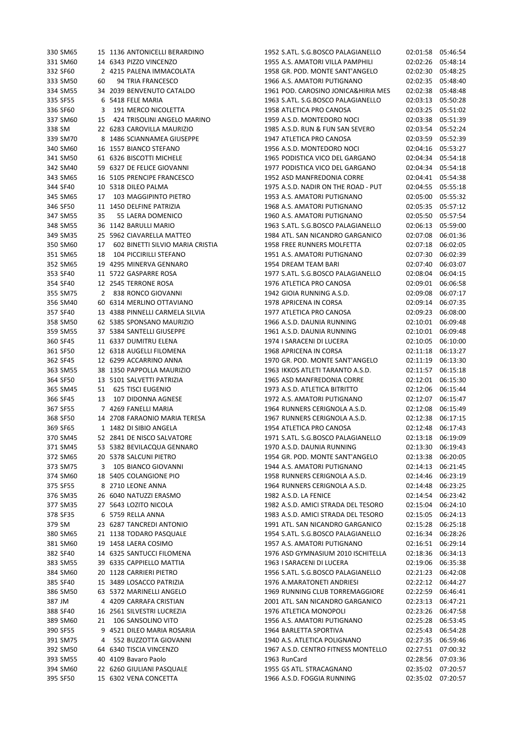| 330 SM65 |    | 15 1136 ANTONICELLI BERARDINO    | 1952 S.ATL. S.G.BOSCO PALAGIANELLO  | 02:01:58 05:46:54 |          |
|----------|----|----------------------------------|-------------------------------------|-------------------|----------|
| 331 SM60 |    | 14 6343 PIZZO VINCENZO           | 1955 A.S. AMATORI VILLA PAMPHILI    | 02:02:26          | 05:48:14 |
| 332 SF60 |    | 2 4215 PALENA IMMACOLATA         | 1958 GR. POD. MONTE SANT'ANGELO     | 02:02:30          | 05:48:25 |
| 333 SM50 | 60 | 94 TRIA FRANCESCO                | 1966 A.S. AMATORI PUTIGNANO         | 02:02:35          | 05:48:40 |
| 334 SM55 |    | 34 2039 BENVENUTO CATALDO        | 1961 POD. CAROSINO JONICA&HIRIA MES | 02:02:38          | 05:48:48 |
| 335 SF55 |    | 6 5418 FELE MARIA                | 1963 S.ATL. S.G.BOSCO PALAGIANELLO  | 02:03:13          | 05:50:28 |
| 336 SF60 | 3  | 191 MERCO NICOLETTA              | 1958 ATLETICA PRO CANOSA            | 02:03:25          | 05:51:02 |
| 337 SM60 | 15 | 424 TRISOLINI ANGELO MARINO      | 1959 A.S.D. MONTEDORO NOCI          | 02:03:38          | 05:51:39 |
| 338 SM   |    | 22 6283 CAROVILLA MAURIZIO       | 1985 A.S.D. RUN & FUN SAN SEVERO    | 02:03:54          | 05:52:24 |
| 339 SM70 |    | 8 1486 SCIANNAMEA GIUSEPPE       | 1947 ATLETICA PRO CANOSA            | 02:03:59          | 05:52:39 |
| 340 SM60 |    | 16 1557 BIANCO STEFANO           | 1956 A.S.D. MONTEDORO NOCI          | 02:04:16          | 05:53:27 |
| 341 SM50 |    | 61 6326 BISCOTTI MICHELE         | 1965 PODISTICA VICO DEL GARGANO     | 02:04:34          | 05:54:18 |
| 342 SM40 |    | 59 6327 DE FELICE GIOVANNI       | 1977 PODISTICA VICO DEL GARGANO     | 02:04:34          | 05:54:18 |
| 343 SM65 |    | 16 5105 PRENCIPE FRANCESCO       | 1952 ASD MANFREDONIA CORRE          | 02:04:41          | 05:54:38 |
| 344 SF40 |    | 10 5318 DILEO PALMA              | 1975 A.S.D. NADIR ON THE ROAD - PUT | 02:04:55          | 05:55:18 |
| 345 SM65 | 17 | 103 MAGGIPINTO PIETRO            | 1953 A.S. AMATORI PUTIGNANO         | 02:05:00          | 05:55:32 |
|          |    | 11 1450 DELFINE PATRIZIA         |                                     |                   |          |
| 346 SF50 |    |                                  | 1968 A.S. AMATORI PUTIGNANO         | 02:05:35          | 05:57:12 |
| 347 SM55 | 35 | 55 LAERA DOMENICO                | 1960 A.S. AMATORI PUTIGNANO         | 02:05:50          | 05:57:54 |
| 348 SM55 |    | 36 1142 BARULLI MARIO            | 1963 S.ATL. S.G.BOSCO PALAGIANELLO  | 02:06:13          | 05:59:00 |
| 349 SM35 |    | 25 5962 CIAVARELLA MATTEO        | 1984 ATL. SAN NICANDRO GARGANICO    | 02:07:08          | 06:01:36 |
| 350 SM60 | 17 | 602 BINETTI SILVIO MARIA CRISTIA | 1958 FREE RUNNERS MOLFETTA          | 02:07:18          | 06:02:05 |
| 351 SM65 | 18 | 104 PICCIRILLI STEFANO           | 1951 A.S. AMATORI PUTIGNANO         | 02:07:30          | 06:02:39 |
| 352 SM65 |    | 19 4295 MINERVA GENNARO          | 1954 DREAM TEAM BARI                | 02:07:40          | 06:03:07 |
| 353 SF40 |    | 11 5722 GASPARRE ROSA            | 1977 S.ATL. S.G.BOSCO PALAGIANELLO  | 02:08:04          | 06:04:15 |
| 354 SF40 |    | 12 2545 TERRONE ROSA             | 1976 ATLETICA PRO CANOSA            | 02:09:01          | 06:06:58 |
| 355 SM75 |    | 2 838 RONCO GIOVANNI             | 1942 GIOIA RUNNING A.S.D.           | 02:09:08          | 06:07:17 |
| 356 SM40 |    | 60 6314 MERLINO OTTAVIANO        | 1978 APRICENA IN CORSA              | 02:09:14          | 06:07:35 |
| 357 SF40 |    | 13 4388 PINNELLI CARMELA SILVIA  | 1977 ATLETICA PRO CANOSA            | 02:09:23          | 06:08:00 |
| 358 SM50 |    | 62 5385 SPONSANO MAURIZIO        | 1966 A.S.D. DAUNIA RUNNING          | 02:10:01          | 06:09:48 |
| 359 SM55 |    | 37 5384 SANTELLI GIUSEPPE        | 1961 A.S.D. DAUNIA RUNNING          | 02:10:01          | 06:09:48 |
| 360 SF45 |    | 11 6337 DUMITRU ELENA            | 1974 I SARACENI DI LUCERA           | 02:10:05          | 06:10:00 |
| 361 SF50 |    | 12 6318 AUGELLI FILOMENA         | 1968 APRICENA IN CORSA              | 02:11:18          | 06:13:27 |
| 362 SF45 |    | 12 6299 ACCARRINO ANNA           | 1970 GR. POD. MONTE SANT'ANGELO     | 02:11:19          | 06:13:30 |
| 363 SM55 |    | 38 1350 PAPPOLLA MAURIZIO        | 1963 IKKOS ATLETI TARANTO A.S.D.    | 02:11:57          | 06:15:18 |
| 364 SF50 |    | 13 5101 SALVETTI PATRIZIA        | 1965 ASD MANFREDONIA CORRE          | 02:12:01          | 06:15:30 |
| 365 SM45 | 51 | <b>625 TISCI EUGENIO</b>         | 1973 A.S.D. ATLETICA BITRITTO       | 02:12:06          | 06:15:44 |
| 366 SF45 | 13 | 107 DIDONNA AGNESE               | 1972 A.S. AMATORI PUTIGNANO         | 02:12:07          | 06:15:47 |
| 367 SF55 |    | 7 4269 FANELLI MARIA             | 1964 RUNNERS CERIGNOLA A.S.D.       | 02:12:08          | 06:15:49 |
| 368 SF50 |    | 14 2708 FARAONIO MARIA TERESA    | 1967 RUNNERS CERIGNOLA A.S.D.       | 02:12:38          | 06:17:15 |
| 369 SF65 |    | 1 1482 DI SIBIO ANGELA           | 1954 ATLETICA PRO CANOSA            | 02:12:48 06:17:43 |          |
| 370 SM45 |    | 52 2841 DE NISCO SALVATORE       | 1971 S.ATL. S.G.BOSCO PALAGIANELLO  | 02:13:18 06:19:09 |          |
| 371 SM45 |    | 53 5382 BEVILACQUA GENNARO       | 1970 A.S.D. DAUNIA RUNNING          | 02:13:30 06:19:43 |          |
| 372 SM65 |    | 20 5378 SALCUNI PIETRO           | 1954 GR. POD. MONTE SANT'ANGELO     | 02:13:38 06:20:05 |          |
| 373 SM75 |    | 3 105 BIANCO GIOVANNI            | 1944 A.S. AMATORI PUTIGNANO         | 02:14:13 06:21:45 |          |
| 374 SM60 |    | 18 5405 COLANGIONE PIO           | 1958 RUNNERS CERIGNOLA A.S.D.       | 02:14:46 06:23:19 |          |
| 375 SF55 |    | 8 2710 LEONE ANNA                | 1964 RUNNERS CERIGNOLA A.S.D.       | 02:14:48          | 06:23:25 |
| 376 SM35 |    | 26 6040 NATUZZI ERASMO           | 1982 A.S.D. LA FENICE               | 02:14:54          | 06:23:42 |
| 377 SM35 |    | 27 5643 LOZITO NICOLA            | 1982 A.S.D. AMICI STRADA DEL TESORO | 02:15:04          | 06:24:10 |
|          |    |                                  |                                     |                   |          |
| 378 SF35 |    | 6 5759 RELLA ANNA                | 1983 A.S.D. AMICI STRADA DEL TESORO | 02:15:05          | 06:24:13 |
| 379 SM   |    | 23 6287 TANCREDI ANTONIO         | 1991 ATL. SAN NICANDRO GARGANICO    | 02:15:28          | 06:25:18 |
| 380 SM65 |    | 21 1138 TODARO PASQUALE          | 1954 S.ATL. S.G.BOSCO PALAGIANELLO  | 02:16:34          | 06:28:26 |
| 381 SM60 |    | 19 1458 LAERA COSIMO             | 1957 A.S. AMATORI PUTIGNANO         | 02:16:51          | 06:29:14 |
| 382 SF40 |    | 14 6325 SANTUCCI FILOMENA        | 1976 ASD GYMNASIUM 2010 ISCHITELLA  | 02:18:36          | 06:34:13 |
| 383 SM55 |    | 39 6335 CAPPIELLO MATTIA         | 1963 I SARACENI DI LUCERA           | 02:19:06          | 06:35:38 |
| 384 SM60 |    | 20 1128 CARRIERI PIETRO          | 1956 S.ATL. S.G.BOSCO PALAGIANELLO  | 02:21:23          | 06:42:08 |
| 385 SF40 |    | 15 3489 LOSACCO PATRIZIA         | 1976 A.MARATONETI ANDRIESI          | 02:22:12          | 06:44:27 |
| 386 SM50 |    | 63 5372 MARINELLI ANGELO         | 1969 RUNNING CLUB TORREMAGGIORE     | 02:22:59          | 06:46:41 |
| 387 JM   |    | 4 4209 CARRAFA CRISTIAN          | 2001 ATL. SAN NICANDRO GARGANICO    | 02:23:13          | 06:47:21 |
| 388 SF40 |    | 16 2561 SILVESTRI LUCREZIA       | 1976 ATLETICA MONOPOLI              | 02:23:26          | 06:47:58 |
| 389 SM60 | 21 | 106 SANSOLINO VITO               | 1956 A.S. AMATORI PUTIGNANO         | 02:25:28          | 06:53:45 |
| 390 SF55 |    | 9 4521 DILEO MARIA ROSARIA       | 1964 BARLETTA SPORTIVA              | 02:25:43          | 06:54:28 |
| 391 SM75 | 4  | 552 BUZZOTTA GIOVANNI            | 1940 A.S. ATLETICA POLIGNANO        | 02:27:35          | 06:59:46 |
| 392 SM50 |    | 64 6340 TISCIA VINCENZO          | 1967 A.S.D. CENTRO FITNESS MONTELLO | 02:27:51          | 07:00:32 |
| 393 SM55 |    | 40 4109 Bavaro Paolo             | 1963 RunCard                        | 02:28:56          | 07:03:36 |
| 394 SM60 |    | 22 6260 GIULIANI PASQUALE        | 1955 GS ATL. STRACAGNANO            | 02:35:02          | 07:20:57 |
| 395 SF50 |    | 15 6302 VENA CONCETTA            | 1966 A.S.D. FOGGIA RUNNING          | 02:35:02 07:20:57 |          |